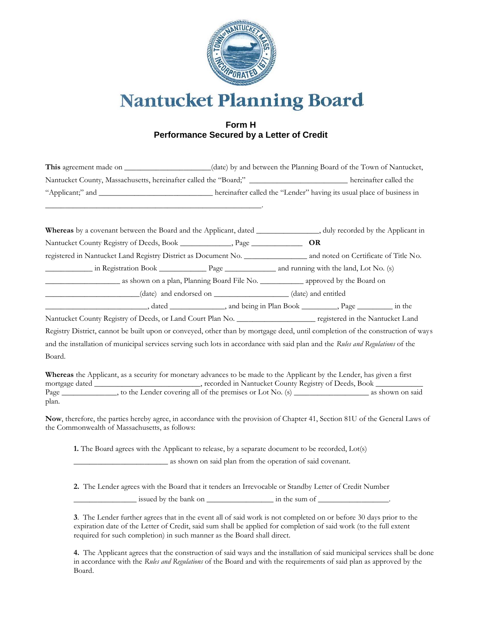

**Nantucket Planning Board** 

## **Form H Performance Secured by a Letter of Credit**

|                                                                                  | (date) by and between the Planning Board of the Town of Nantucket,    |                        |
|----------------------------------------------------------------------------------|-----------------------------------------------------------------------|------------------------|
| Nantucket County, Massachusetts, hereinafter called the "Board;" _______________ |                                                                       | hereinafter called the |
|                                                                                  | hereinafter called the "Lender" having its usual place of business in |                        |
|                                                                                  |                                                                       |                        |

| Whereas by a covenant between the Board and the Applicant, dated ________________, duly recorded by the Applicant in                                                                                                           |  |  |  |
|--------------------------------------------------------------------------------------------------------------------------------------------------------------------------------------------------------------------------------|--|--|--|
| Nantucket County Registry of Deeds, Book _____________, Page ____________________ OR                                                                                                                                           |  |  |  |
|                                                                                                                                                                                                                                |  |  |  |
|                                                                                                                                                                                                                                |  |  |  |
|                                                                                                                                                                                                                                |  |  |  |
| (date) and endorsed on _________________(date) and entitled                                                                                                                                                                    |  |  |  |
| and being in Plan Book ____________, Page ____________________, the head of the state of the state of the state of the state of the state of the state of the state of the state of the state of the state of the state of the |  |  |  |
| Nantucket County Registry of Deeds, or Land Court Plan No. ______________________ registered in the Nantucket Land                                                                                                             |  |  |  |
| Registry District, cannot be built upon or conveyed, other than by mortgage deed, until completion of the construction of ways                                                                                                 |  |  |  |
| and the installation of municipal services serving such lots in accordance with said plan and the Rules and Regulations of the                                                                                                 |  |  |  |
| Board.                                                                                                                                                                                                                         |  |  |  |

**Whereas** the Applicant, as a security for monetary advances to be made to the Applicant by the Lender, has given a first mortgage dated \_\_\_\_\_\_\_\_\_\_\_\_\_\_\_\_\_\_\_\_\_\_\_, recorded in Nantucket County Registry of Deeds, Book \_\_\_\_\_\_\_ Page \_\_\_\_\_\_\_\_\_\_\_\_\_\_, to the Lender covering all of the premises or Lot No. (s) \_\_\_\_\_\_\_\_\_\_\_\_\_\_\_\_\_\_\_ as shown on said plan.

**Now**, therefore, the parties hereby agree, in accordance with the provision of Chapter 41, Section 81U of the General Laws of the Commonwealth of Massachusetts, as follows:

**1.** The Board agrees with the Applicant to release, by a separate document to be recorded, Lot(s)

\_\_\_\_\_\_\_\_\_\_\_\_\_\_\_\_\_\_\_\_\_\_\_\_ as shown on said plan from the operation of said covenant.

**2.** The Lender agrees with the Board that it tenders an Irrevocable or Standby Letter of Credit Number  $\frac{1}{2}$  issued by the bank on  $\frac{1}{2}$  in the sum of  $\frac{1}{2}$ .

**3**. The Lender further agrees that in the event all of said work is not completed on or before 30 days prior to the expiration date of the Letter of Credit, said sum shall be applied for completion of said work (to the full extent required for such completion) in such manner as the Board shall direct.

**4.** The Applicant agrees that the construction of said ways and the installation of said municipal services shall be done in accordance with the *Rules and Regulations* of the Board and with the requirements of said plan as approved by the Board.